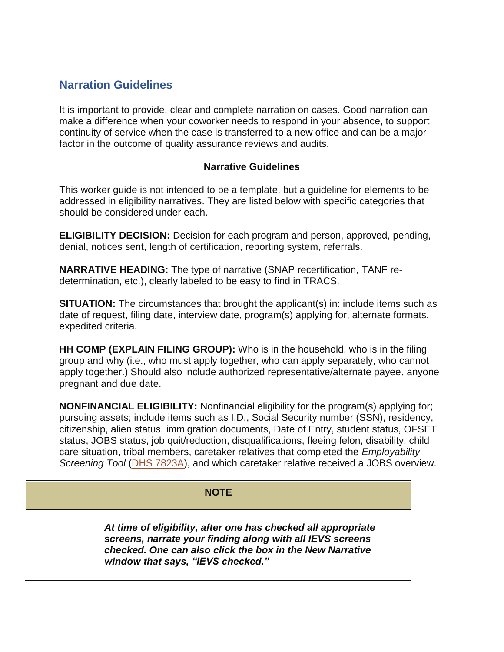# **Narration Guidelines**

It is important to provide, clear and complete narration on cases. Good narration can make a difference when your coworker needs to respond in your absence, to support continuity of service when the case is transferred to a new office and can be a major factor in the outcome of quality assurance reviews and audits.

#### **Narrative Guidelines**

This worker guide is not intended to be a template, but a guideline for elements to be addressed in eligibility narratives. They are listed below with specific categories that should be considered under each.

**ELIGIBILITY DECISION:** Decision for each program and person, approved, pending, denial, notices sent, length of certification, reporting system, referrals.

**NARRATIVE HEADING:** The type of narrative (SNAP recertification, TANF redetermination, etc.), clearly labeled to be easy to find in TRACS.

**SITUATION:** The circumstances that brought the applicant(s) in: include items such as date of request, filing date, interview date, program(s) applying for, alternate formats, expedited criteria.

**HH COMP (EXPLAIN FILING GROUP):** Who is in the household, who is in the filing group and why (i.e., who must apply together, who can apply separately, who cannot apply together.) Should also include authorized representative/alternate payee, anyone pregnant and due date.

**NONFINANCIAL ELIGIBILITY:** Nonfinancial eligibility for the program(s) applying for; pursuing assets; include items such as I.D., Social Security number (SSN), residency, citizenship, alien status, immigration documents, Date of Entry, student status, OFSET status, JOBS status, job quit/reduction, disqualifications, fleeing felon, disability, child care situation, tribal members, caretaker relatives that completed the *Employability Screening Tool* [\(DHS 7823A\)](https://apps.state.or.us/cf1/DHSforms/Forms/Served/de7823a.pdf), and which caretaker relative received a JOBS overview.

### **NOTE**

*At time of eligibility, after one has checked all appropriate screens, narrate your finding along with all IEVS screens checked. One can also click the box in the New Narrative window that says, "IEVS checked."*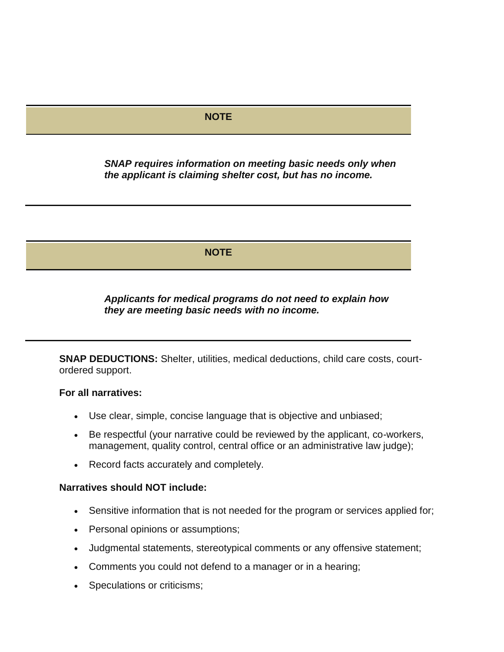### **NOTE**

*SNAP requires information on meeting basic needs only when the applicant is claiming shelter cost, but has no income.*

**NOTE** 

*Applicants for medical programs do not need to explain how they are meeting basic needs with no income.*

**SNAP DEDUCTIONS:** Shelter, utilities, medical deductions, child care costs, courtordered support.

#### **For all narratives:**

- Use clear, simple, concise language that is objective and unbiased;
- Be respectful (your narrative could be reviewed by the applicant, co-workers, management, quality control, central office or an administrative law judge);
- Record facts accurately and completely.

#### **Narratives should NOT include:**

- Sensitive information that is not needed for the program or services applied for;
- Personal opinions or assumptions;
- Judgmental statements, stereotypical comments or any offensive statement;
- Comments you could not defend to a manager or in a hearing;
- Speculations or criticisms;